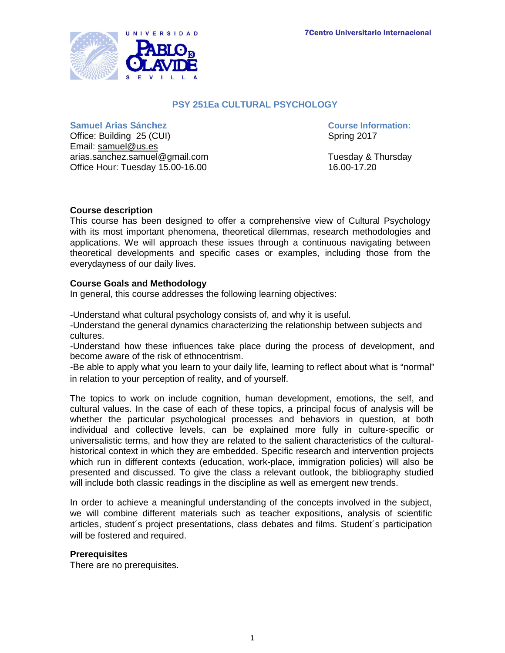

# **PSY 251Ea CULTURAL PSYCHOLOGY**

#### **Samuel Arias Sánchez Course Information:**

Office: Building 25 (CUI) Spring 2017 Email: [samuel@us.es](mailto:samuel@us.es) arias.sanchez.samuel@gmail.com Tuesday & Thursday Office Hour: Tuesday 15.00-16.00 16.00 16.00-17.20

### **Course description**

This course has been designed to offer a comprehensive view of Cultural Psychology with its most important phenomena, theoretical dilemmas, research methodologies and applications. We will approach these issues through a continuous navigating between theoretical developments and specific cases or examples, including those from the everydayness of our daily lives.

#### **Course Goals and Methodology**

In general, this course addresses the following learning objectives:

-Understand what cultural psychology consists of, and why it is useful.

-Understand the general dynamics characterizing the relationship between subjects and cultures.

-Understand how these influences take place during the process of development, and become aware of the risk of ethnocentrism.

-Be able to apply what you learn to your daily life, learning to reflect about what is "normal" in relation to your perception of reality, and of yourself.

The topics to work on include cognition, human development, emotions, the self, and cultural values. In the case of each of these topics, a principal focus of analysis will be whether the particular psychological processes and behaviors in question, at both individual and collective levels, can be explained more fully in culture-specific or universalistic terms, and how they are related to the salient characteristics of the culturalhistorical context in which they are embedded. Specific research and intervention projects which run in different contexts (education, work-place, immigration policies) will also be presented and discussed. To give the class a relevant outlook, the bibliography studied will include both classic readings in the discipline as well as emergent new trends.

In order to achieve a meaningful understanding of the concepts involved in the subject, we will combine different materials such as teacher expositions, analysis of scientific articles, student´s project presentations, class debates and films. Student´s participation will be fostered and required.

#### **Prerequisites**

There are no prerequisites.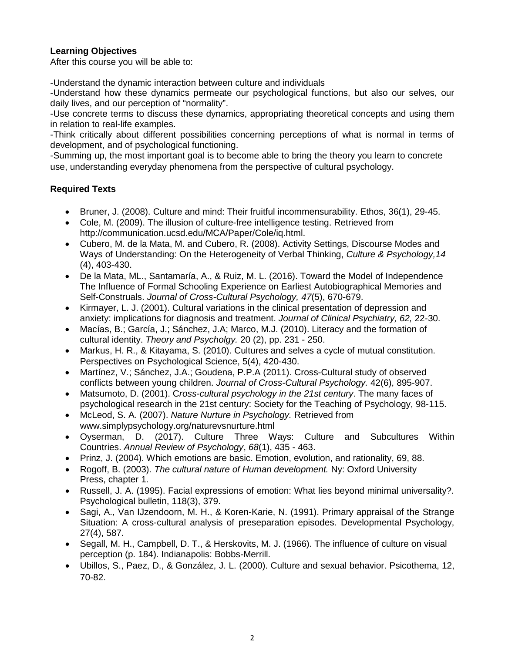# **Learning Objectives**

After this course you will be able to:

-Understand the dynamic interaction between culture and individuals

-Understand how these dynamics permeate our psychological functions, but also our selves, our daily lives, and our perception of "normality".

-Use concrete terms to discuss these dynamics, appropriating theoretical concepts and using them in relation to real-life examples.

-Think critically about different possibilities concerning perceptions of what is normal in terms of development, and of psychological functioning.

-Summing up, the most important goal is to become able to bring the theory you learn to concrete use, understanding everyday phenomena from the perspective of cultural psychology.

# **Required Texts**

- Bruner, J. (2008). Culture and mind: Their fruitful incommensurability. Ethos, 36(1), 29-45.
- Cole, M. (2009). The illusion of culture-free intelligence testing. Retrieved from http://communication.ucsd.edu/MCA/Paper/Cole/iq.html.
- Cubero, M. de la Mata, M. and Cubero, R. (2008). Activity Settings, Discourse Modes and Ways of Understanding: On the Heterogeneity of Verbal Thinking, *Culture & Psychology,14*  (4), 403-430.
- De la Mata, ML., Santamaría, A., & Ruiz, M. L. (2016). Toward the Model of Independence The Influence of Formal Schooling Experience on Earliest Autobiographical Memories and Self-Construals. *Journal of Cross-Cultural Psychology, 47*(5), 670-679.
- Kirmayer, L. J. (2001). Cultural variations in the clinical presentation of depression and anxiety: implications for diagnosis and treatment. *Journal of Clinical Psychiatry, 62,* 22-30.
- Macías, B.; García, J.; Sánchez, J.A; Marco, M.J. (2010). Literacy and the formation of cultural identity. *Theory and Psycholgy.* 20 (2), pp. 231 - 250.
- Markus, H. R., & Kitayama, S. (2010). Cultures and selves a cycle of mutual constitution. Perspectives on Psychological Science, 5(4), 420-430.
- Martínez, V.; Sánchez, J.A.; Goudena, P.P.A (2011). Cross-Cultural study of observed conflicts between young children. *Journal of Cross-Cultural Psychology.* 42(6), 895-907.
- Matsumoto, D. (2001). C*ross-cultural psychology in the 21st century*. The many faces of psychological research in the 21st century: Society for the Teaching of Psychology, 98-115.
- McLeod, S. A. (2007). *Nature Nurture in Psychology.* Retrieved from [www.simplypsychology.org/naturevsnurture.html](http://www.simplypsychology.org/naturevsnurture.html)
- Oyserman, D. (2017). Culture Three Ways: Culture and Subcultures Within Countries. *Annual Review of Psychology*, *68*(1), 435 - 463.
- Prinz, J. (2004). Which emotions are basic. Emotion, evolution, and rationality, 69, 88.
- Rogoff, B. (2003). *The cultural nature of Human development.* Ny: Oxford University Press, chapter 1.
- Russell, J. A. (1995). Facial expressions of emotion: What lies beyond minimal universality?. Psychological bulletin, 118(3), 379.
- Sagi, A., Van IJzendoorn, M. H., & Koren-Karie, N. (1991). Primary appraisal of the Strange Situation: A cross-cultural analysis of preseparation episodes. Developmental Psychology, 27(4), 587.
- Segall, M. H., Campbell, D. T., & Herskovits, M. J. (1966). The influence of culture on visual perception (p. 184). Indianapolis: Bobbs-Merrill.
- Ubillos, S., Paez, D., & González, J. L. (2000). Culture and sexual behavior. Psicothema, 12, 70-82.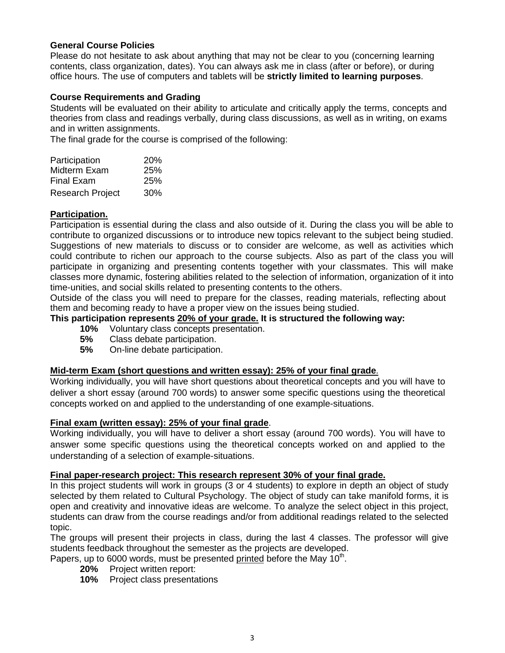### **General Course Policies**

Please do not hesitate to ask about anything that may not be clear to you (concerning learning contents, class organization, dates). You can always ask me in class (after or before), or during office hours. The use of computers and tablets will be **strictly limited to learning purposes**.

### **Course Requirements and Grading**

Students will be evaluated on their ability to articulate and critically apply the terms, concepts and theories from class and readings verbally, during class discussions, as well as in writing, on exams and in written assignments.

The final grade for the course is comprised of the following:

| Participation           | <b>20%</b> |
|-------------------------|------------|
| Midterm Exam            | 25%        |
| <b>Final Exam</b>       | 25%        |
| <b>Research Project</b> | 30%        |

## **Participation.**

Participation is essential during the class and also outside of it. During the class you will be able to contribute to organized discussions or to introduce new topics relevant to the subject being studied. Suggestions of new materials to discuss or to consider are welcome, as well as activities which could contribute to richen our approach to the course subjects. Also as part of the class you will participate in organizing and presenting contents together with your classmates. This will make classes more dynamic, fostering abilities related to the selection of information, organization of it into time-unities, and social skills related to presenting contents to the others.

Outside of the class you will need to prepare for the classes, reading materials, reflecting about them and becoming ready to have a proper view on the issues being studied.

### **This participation represents 20% of your grade. It is structured the following way:**

- **10%** Voluntary class concepts presentation.
- **5%** Class debate participation.
- **5%** On-line debate participation.

#### **Mid-term Exam (short questions and written essay): 25% of your final grade**.

Working individually, you will have short questions about theoretical concepts and you will have to deliver a short essay (around 700 words) to answer some specific questions using the theoretical concepts worked on and applied to the understanding of one example-situations.

## **Final exam (written essay): 25% of your final grade**.

Working individually, you will have to deliver a short essay (around 700 words). You will have to answer some specific questions using the theoretical concepts worked on and applied to the understanding of a selection of example-situations.

#### **Final paper-research project: This research represent 30% of your final grade.**

In this project students will work in groups (3 or 4 students) to explore in depth an object of study selected by them related to Cultural Psychology. The object of study can take manifold forms, it is open and creativity and innovative ideas are welcome. To analyze the select object in this project, students can draw from the course readings and/or from additional readings related to the selected topic.

The groups will present their projects in class, during the last 4 classes. The professor will give students feedback throughout the semester as the projects are developed.

Papers, up to 6000 words, must be presented printed before the May  $10<sup>th</sup>$ .

- **20%** Project written report:
- **10%** Project class presentations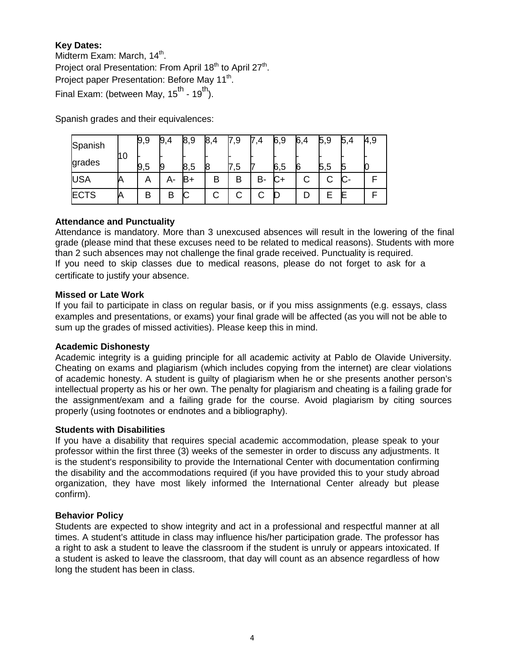# **Key Dates:**

Midterm Exam: March, 14<sup>th</sup>. Project oral Presentation: From April 18<sup>th</sup> to April 27<sup>th</sup>. Project paper Presentation: Before May 11<sup>th</sup>. Final Exam: (between May, 15<sup>th</sup> - 19<sup>th</sup>).

Spanish grades and their equivalences:

| Spanish     |      | 9,9 | 9,4 | 8,9 | 8, |    | ,4 | 6,9 | 6,4 | 5,9 | 5 | 4,9 |
|-------------|------|-----|-----|-----|----|----|----|-----|-----|-----|---|-----|
| grades      | 11 O | 9,5 |     | 8,5 | 18 | .ວ |    | 6,5 |     | 5,5 |   |     |
| <b>USA</b>  |      | A   |     | В+  |    |    | B- | ◡⊣  |     |     |   |     |
| <b>ECTS</b> |      | ь   | B   |     | С  |    |    |     |     |     |   |     |

## **Attendance and Punctuality**

Attendance is mandatory. More than 3 unexcused absences will result in the lowering of the final grade (please mind that these excuses need to be related to medical reasons). Students with more than 2 such absences may not challenge the final grade received. Punctuality is required. If you need to skip classes due to medical reasons, please do not forget to ask for a certificate to justify your absence.

### **Missed or Late Work**

If you fail to participate in class on regular basis, or if you miss assignments (e.g. essays, class examples and presentations, or exams) your final grade will be affected (as you will not be able to sum up the grades of missed activities). Please keep this in mind.

## **Academic Dishonesty**

Academic integrity is a guiding principle for all academic activity at Pablo de Olavide University. Cheating on exams and plagiarism (which includes copying from the internet) are clear violations of academic honesty. A student is guilty of plagiarism when he or she presents another person's intellectual property as his or her own. The penalty for plagiarism and cheating is a failing grade for the assignment/exam and a failing grade for the course. Avoid plagiarism by citing sources properly (using footnotes or endnotes and a bibliography).

#### **Students with Disabilities**

If you have a disability that requires special academic accommodation, please speak to your professor within the first three (3) weeks of the semester in order to discuss any adjustments. It is the student's responsibility to provide the International Center with documentation confirming the disability and the accommodations required (if you have provided this to your study abroad organization, they have most likely informed the International Center already but please confirm).

## **Behavior Policy**

Students are expected to show integrity and act in a professional and respectful manner at all times. A student's attitude in class may influence his/her participation grade. The professor has a right to ask a student to leave the classroom if the student is unruly or appears intoxicated. If a student is asked to leave the classroom, that day will count as an absence regardless of how long the student has been in class.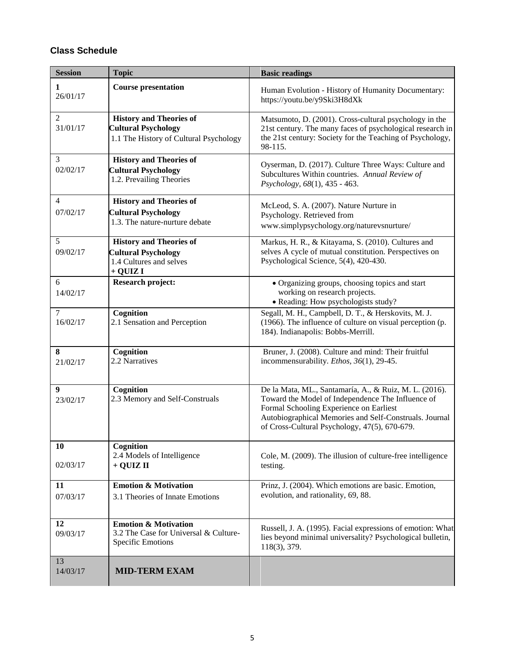# **Class Schedule**

| <b>Session</b>             | <b>Topic</b>                                                                                           | <b>Basic readings</b>                                                                                                                                                                                                                                             |
|----------------------------|--------------------------------------------------------------------------------------------------------|-------------------------------------------------------------------------------------------------------------------------------------------------------------------------------------------------------------------------------------------------------------------|
| 1<br>26/01/17              | <b>Course presentation</b>                                                                             | Human Evolution - History of Humanity Documentary:<br>https://youtu.be/y9Ski3H8dXk                                                                                                                                                                                |
| $\overline{2}$<br>31/01/17 | <b>History and Theories of</b><br><b>Cultural Psychology</b><br>1.1 The History of Cultural Psychology | Matsumoto, D. (2001). Cross-cultural psychology in the<br>21st century. The many faces of psychological research in<br>the 21st century: Society for the Teaching of Psychology,<br>98-115.                                                                       |
| 3<br>02/02/17              | <b>History and Theories of</b><br><b>Cultural Psychology</b><br>1.2. Prevailing Theories               | Oyserman, D. (2017). Culture Three Ways: Culture and<br>Subcultures Within countries. Annual Review of<br>Psychology, 68(1), 435 - 463.                                                                                                                           |
| $\overline{4}$<br>07/02/17 | <b>History and Theories of</b><br><b>Cultural Psychology</b><br>1.3. The nature-nurture debate         | McLeod, S. A. (2007). Nature Nurture in<br>Psychology. Retrieved from<br>www.simplypsychology.org/naturevsnurture/                                                                                                                                                |
| 5<br>09/02/17              | <b>History and Theories of</b><br><b>Cultural Psychology</b><br>1.4 Cultures and selves<br>$+$ QUIZ I  | Markus, H. R., & Kitayama, S. (2010). Cultures and<br>selves A cycle of mutual constitution. Perspectives on<br>Psychological Science, 5(4), 420-430.                                                                                                             |
| 6<br>14/02/17              | <b>Research project:</b>                                                                               | • Organizing groups, choosing topics and start<br>working on research projects.<br>• Reading: How psychologists study?                                                                                                                                            |
| $\tau$<br>16/02/17         | Cognition<br>2.1 Sensation and Perception                                                              | Segall, M. H., Campbell, D. T., & Herskovits, M. J.<br>(1966). The influence of culture on visual perception (p.<br>184). Indianapolis: Bobbs-Merrill.                                                                                                            |
| 8<br>21/02/17              | Cognition<br>2.2 Narratives                                                                            | Bruner, J. (2008). Culture and mind: Their fruitful<br>incommensurability. Ethos, 36(1), 29-45.                                                                                                                                                                   |
| 9<br>23/02/17              | Cognition<br>2.3 Memory and Self-Construals                                                            | De la Mata, ML., Santamaría, A., & Ruiz, M. L. (2016).<br>Toward the Model of Independence The Influence of<br>Formal Schooling Experience on Earliest<br>Autobiographical Memories and Self-Construals. Journal<br>of Cross-Cultural Psychology, 47(5), 670-679. |
| 10<br>02/03/17             | Cognition<br>2.4 Models of Intelligence<br>$+$ QUIZ II                                                 | Cole, M. (2009). The illusion of culture-free intelligence<br>testing.                                                                                                                                                                                            |
| 11<br>07/03/17             | <b>Emotion &amp; Motivation</b><br>3.1 Theories of Innate Emotions                                     | Prinz, J. (2004). Which emotions are basic. Emotion,<br>evolution, and rationality, 69, 88.                                                                                                                                                                       |
| 12<br>09/03/17             | <b>Emotion &amp; Motivation</b><br>3.2 The Case for Universal & Culture-<br><b>Specific Emotions</b>   | Russell, J. A. (1995). Facial expressions of emotion: What<br>lies beyond minimal universality? Psychological bulletin,<br>118(3), 379.                                                                                                                           |
| 13<br>14/03/17             | <b>MID-TERM EXAM</b>                                                                                   |                                                                                                                                                                                                                                                                   |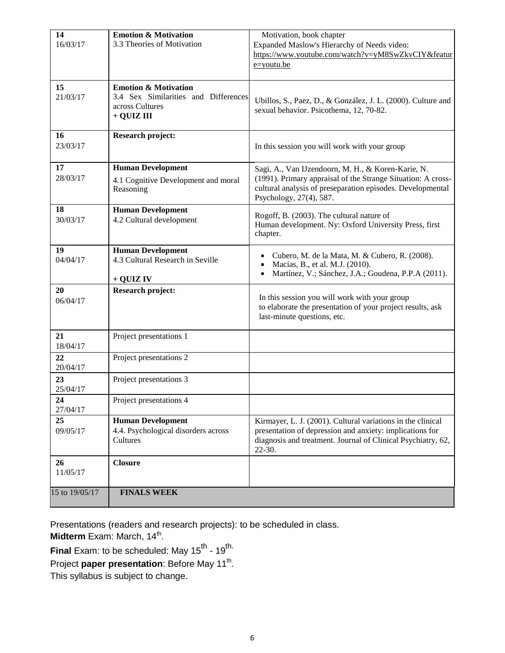| 14             | <b>Emotion &amp; Motivation</b>      | Motivation, book chapter                                                                           |
|----------------|--------------------------------------|----------------------------------------------------------------------------------------------------|
| 16/03/17       | 3.3 Theories of Motivation           | Expanded Maslow's Hierarchy of Needs video:                                                        |
|                |                                      | https://www.youtube.com/watch?v=yM8SwZkvCIY&featur                                                 |
|                |                                      | $e =$ youtu.be                                                                                     |
| 15             | <b>Emotion &amp; Motivation</b>      |                                                                                                    |
| 21/03/17       | 3.4 Sex Similarities and Differences | Ubillos, S., Paez, D., & González, J. L. (2000). Culture and                                       |
|                | across Cultures                      | sexual behavior. Psicothema, 12, 70-82.                                                            |
|                | + QUIZ III                           |                                                                                                    |
| 16             | <b>Research project:</b>             |                                                                                                    |
| 23/03/17       |                                      | In this session you will work with your group                                                      |
|                |                                      |                                                                                                    |
| 17             | <b>Human Development</b>             | Sagi, A., Van IJzendoorn, M. H., & Koren-Karie, N.                                                 |
| 28/03/17       | 4.1 Cognitive Development and moral  | (1991). Primary appraisal of the Strange Situation: A cross-                                       |
|                | Reasoning                            | cultural analysis of preseparation episodes. Developmental<br>Psychology, 27(4), 587.              |
| 18             | <b>Human Development</b>             |                                                                                                    |
| 30/03/17       | 4.2 Cultural development             | Rogoff, B. (2003). The cultural nature of<br>Human development. Ny: Oxford University Press, first |
|                |                                      | chapter.                                                                                           |
| 19             | <b>Human Development</b>             |                                                                                                    |
| 04/04/17       | 4.3 Cultural Research in Seville     | Cubero, M. de la Mata, M. & Cubero, R. (2008).                                                     |
|                |                                      | Macías, B., et al. M.J. (2010).<br>Martínez, V.; Sánchez, J.A.; Goudena, P.P.A (2011).             |
|                | + QUIZ IV                            |                                                                                                    |
| 20             | <b>Research project:</b>             | In this session you will work with your group                                                      |
| 06/04/17       |                                      | to elaborate the presentation of your project results, ask                                         |
|                |                                      | last-minute questions, etc.                                                                        |
|                |                                      |                                                                                                    |
| 21<br>18/04/17 | Project presentations 1              |                                                                                                    |
| 22             | Project presentations 2              |                                                                                                    |
| 20/04/17       |                                      |                                                                                                    |
| 23             | Project presentations 3              |                                                                                                    |
| 25/04/17       |                                      |                                                                                                    |
| 24<br>27/04/17 | Project presentations 4              |                                                                                                    |
| 25             | <b>Human Development</b>             | Kirmayer, L. J. (2001). Cultural variations in the clinical                                        |
| 09/05/17       | 4.4. Psychological disorders across  | presentation of depression and anxiety: implications for                                           |
|                | Cultures                             | diagnosis and treatment. Journal of Clinical Psychiatry, 62,<br>22-30.                             |
| 26             | <b>Closure</b>                       |                                                                                                    |
| 11/05/17       |                                      |                                                                                                    |
|                |                                      |                                                                                                    |
| 15 to 19/05/17 | <b>FINALS WEEK</b>                   |                                                                                                    |

Presentations (readers and research projects): to be scheduled in class.

**Midterm** Exam: March, 14<sup>th</sup>.

**Final** Exam: to be scheduled: May 15<sup>th</sup> - 19<sup>th.</sup>

Project paper presentation: Before May 11<sup>th</sup>.

This syllabus is subject to change.